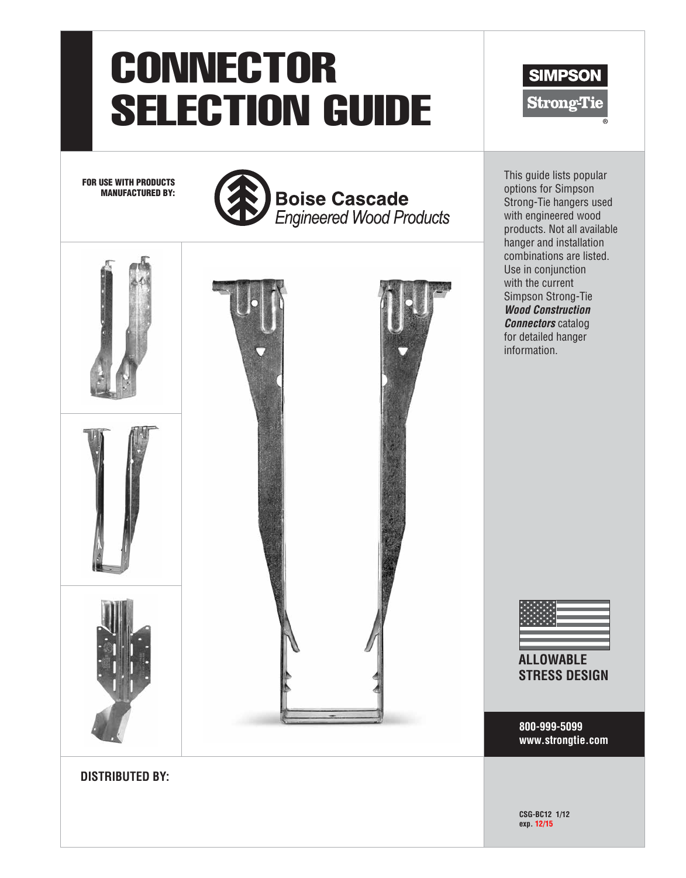# **CONNECTOR** SELECTION GUIDE

FOR USE WITH PRODUCTS MANUFACTURED BY:





This guide lists popular options for Simpson Strong-Tie hangers used with engineered wood products. Not all available hanger and installation combinations are listed. Use in conjunction with the current Simpson Strong-Tie *Wood Construction Connectors* catalog for detailed hanger information.

**SIMPSON** 

**Strong-Tie** 

**ALLOWABLE STRESS DESIGN**

**800-999-5099 www.strongtie.com**

**CSG-BC12 1/12 exp. 12/15**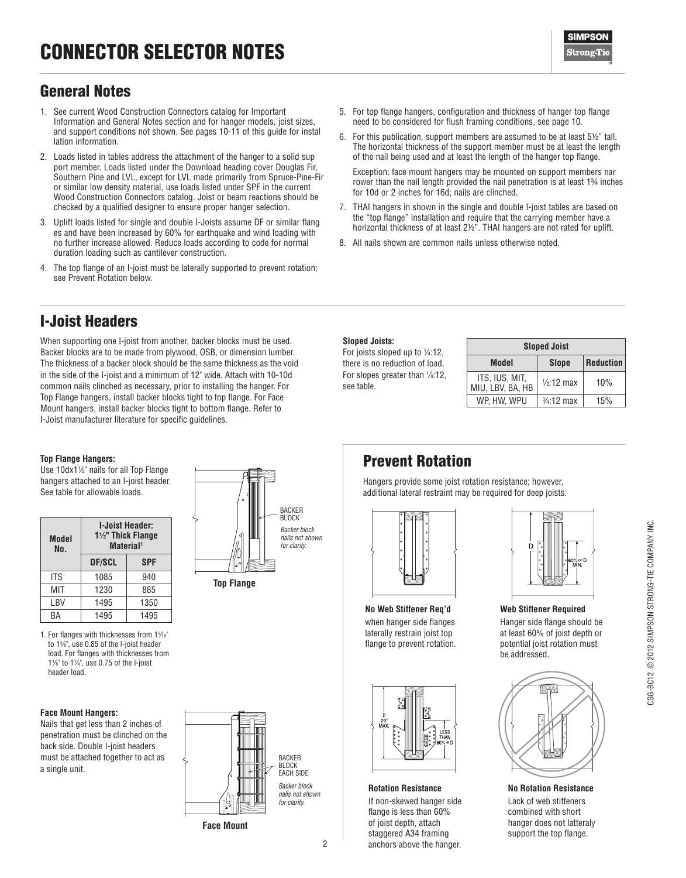

## General Notes

- 1. See current Wood Construction Connectors catalog for Important Information and General Notes section and for hanger models, joist sizes, and support conditions not shown. See pages 10-11 of this guide for instal lation information.
- 2. Loads listed in tables address the attachment of the hanger to a solid sup port member. Loads listed under the Download heading cover Douglas Fir, Southern Pine and LVL, except for LVL made primarily from Spruce-Pine-Fir or similar low density material, use loads listed under SPF in the current Wood Construction Connectors catalog. Joist or beam reactions should be checked by a qualified designer to ensure proper hanger selection.
- 3. Uplift loads listed for single and double I-Joists assume DF or similar flang es and have been increased by 60% for earthquake and wind loading with no further increase allowed. Reduce loads according to code for normal duration loading such as cantilever construction.
- 4. The top flange of an I-joist must be laterally supported to prevent rotation; see Prevent Rotation below.
- 5. For top flange hangers, configuration and thickness of hanger top flange need to be considered for flush framing conditions, see page 10.
- 6. For this publication, support members are assumed to be at least 5½" tall. The horizontal thickness of the support member must be at least the length of the nail being used and at least the length of the hanger top flange.

Exception: face mount hangers may be mounted on support members nar rower than the nail length provided the nail penetration is at least 1¾ inches for 10d or 2 inches for 16d; nails are clinched.

- 7. THAI hangers in shown in the single and double I-joist tables are based on the "top flange" installation and require that the carrying member have a horizontal thickness of at least 2½". THAI hangers are not rated for uplift.
- 8. All nails shown are common nails unless otherwise noted.

## I-Joist Headers

When supporting one I-joist from another, backer blocks must be used. Backer blocks are to be made from plywood, OSB, or dimension lumber. The thickness of a backer block should be the same thickness as the void in the side of the I-joist and a minimum of 12" wide. Attach with 10-10d common nails clinched as necessary, prior to installing the hanger. For Top Flange hangers, install backer blocks tight to top flange. For Face Mount hangers, install backer blocks tight to bottom flange. Refer to I-Joist manufacturer literature for specific guidelines.

#### **Sloped Joists:**

For joists sloped up to  $\frac{1}{4}$ :12, there is no reduction of load. For slopes greater than 1/4:12, see table.

|                                    | <b>Sloped Joist</b>   |                  |
|------------------------------------|-----------------------|------------------|
| Model                              | <b>Slope</b>          | <b>Reduction</b> |
| ITS, IUS, MIT,<br>MIU, LBV, BA, HB | $1/2:12$ max          | 10%              |
| WP. HW. WPU                        | $\frac{3}{4}$ :12 max | 15%              |

#### **Top Flange Hangers:**

Use 10dx11 ⁄2" nails for all Top Flange hangers attached to an I-joist header. See table for allowable loads.

| Model<br>No. | 11/2" Thick Flange<br>Material <sup>1</sup> | <b>I-Joist Header:</b> |
|--------------|---------------------------------------------|------------------------|
|              | <b>DF/SCL</b>                               | <b>SPF</b>             |
| ITS          | 1085                                        | 940                    |
| MIT          | 1230                                        | 885                    |
| LBV          | 1495                                        | 1350                   |
| RА           | 1495                                        | 1495                   |

1. For flanges with thicknesses from 15 ⁄16" to 13 ⁄8", use 0.85 of the I-joist header load. For flanges with thicknesses from 11 ⁄8" to 11 ⁄4", use 0.75 of the I-joist header load.

#### **Face Mount Hangers:**

Nails that get less than 2 inches of penetration must be clinched on the back side. Double I-joist headers must be attached together to act as a single unit.





**Face Mount**

# Prevent Rotation

Hangers provide some joist rotation resistance; however, additional lateral restraint may be required for deep joists.



**No Web Stiffener Req'd**  when hanger side flanges laterally restrain joist top flange to prevent rotation.



#### **Rotation Resistance**

If non-skewed hanger side flange is less than 60% of joist depth, attach staggered A34 framing anchors above the hanger.

**Web Stiffener Required** Hanger side flange should be at least 60% of joist depth or potential joist rotation must be addressed.



**No Rotation Resistance**

Lack of web stiffeners combined with short hanger does not latteraly support the top flange.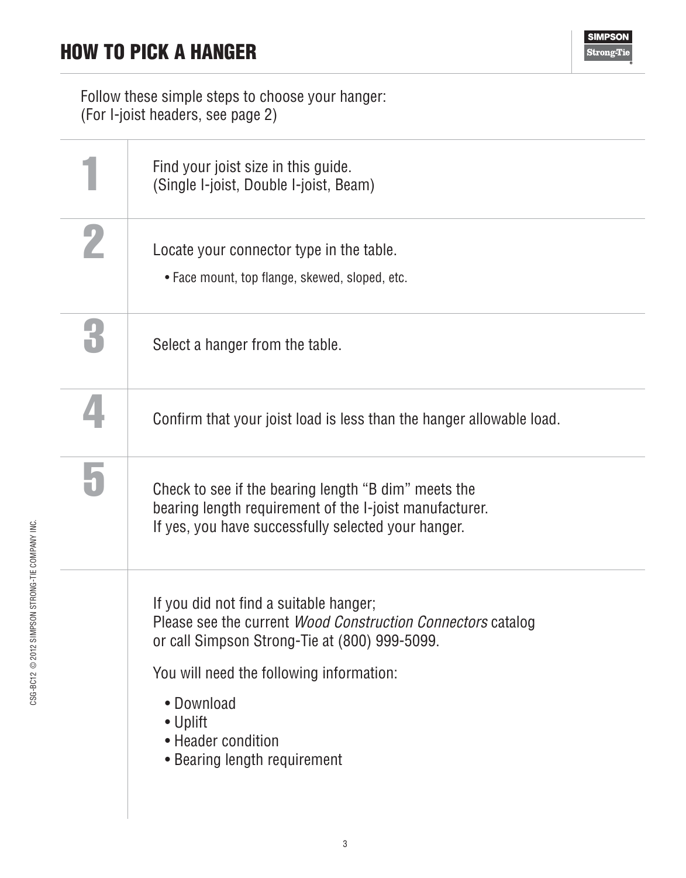Follow these simple steps to choose your hanger: (For I-joist headers, see page 2)

|              | Find your joist size in this guide.<br>(Single I-joist, Double I-joist, Beam)                                                                                                                                                                                                             |
|--------------|-------------------------------------------------------------------------------------------------------------------------------------------------------------------------------------------------------------------------------------------------------------------------------------------|
|              | Locate your connector type in the table.<br>• Face mount, top flange, skewed, sloped, etc.                                                                                                                                                                                                |
| $\mathbf{R}$ | Select a hanger from the table.                                                                                                                                                                                                                                                           |
|              | Confirm that your joist load is less than the hanger allowable load.                                                                                                                                                                                                                      |
|              | Check to see if the bearing length "B dim" meets the<br>bearing length requirement of the I-joist manufacturer.<br>If yes, you have successfully selected your hanger.                                                                                                                    |
|              | If you did not find a suitable hanger;<br>Please see the current <i>Wood Construction Connectors</i> catalog<br>or call Simpson Strong-Tie at (800) 999-5099.<br>You will need the following information:<br>• Download<br>• Uplift<br>• Header condition<br>• Bearing length requirement |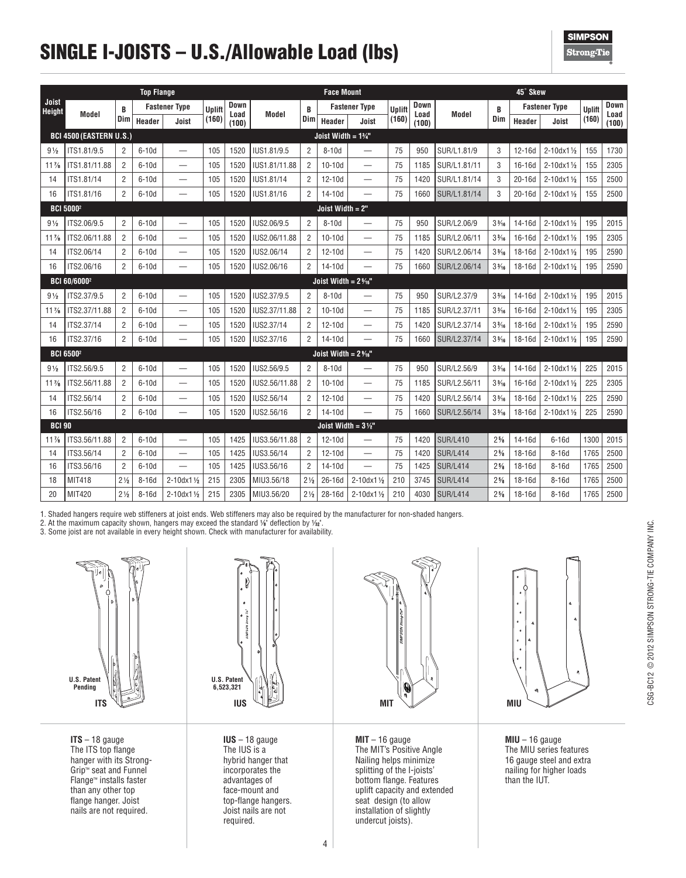# SINGLE I-JOISTS – U.S./Allowable Load (lbs)

**SIMPSON Strong**Tie

|                 |                                |                | <b>Top Flange</b> |                          |        |               |                                                                                                   |                | <b>Face Mount</b>              |                                 |               |               |                 |                 | 45° Skew   |                           |               |               |
|-----------------|--------------------------------|----------------|-------------------|--------------------------|--------|---------------|---------------------------------------------------------------------------------------------------|----------------|--------------------------------|---------------------------------|---------------|---------------|-----------------|-----------------|------------|---------------------------|---------------|---------------|
| Joist<br>Height |                                | B              |                   | <b>Fastener Type</b>     | Uplift | Down          |                                                                                                   | B              |                                | <b>Fastener Type</b>            | <b>Uplift</b> | Down          |                 | B               |            | <b>Fastener Type</b>      | <b>Uplift</b> | Down          |
|                 | Model                          | Dim            | Header            | Joist                    | (160)  | Load<br>(100) | Model                                                                                             | Dim            | Header                         | Joist                           | (160)         | Load<br>(100) | Model           | Dim             | Header     | Joist                     | (160)         | Load<br>(100) |
|                 | <b>BCI 4500 (EASTERN U.S.)</b> |                |                   |                          |        |               |                                                                                                   |                | Joist Width = $1\%$ "          |                                 |               |               |                 |                 |            |                           |               |               |
| $9\frac{1}{2}$  | ITS1.81/9.5                    | $\overline{2}$ | $6-10d$           | $\equiv$                 | 105    | 1520          | IUS1.81/9.5                                                                                       | $\overline{2}$ | $8-10d$                        | $\qquad \qquad$                 | 75            | 950           | SUR/L1.81/9     | 3               | 12-16d     | $2 - 10dx1$ $V_2$         | 155           | 1730          |
| $11\%$          | ITS1.81/11.88                  | $\overline{2}$ | $6-10d$           | $\overline{\phantom{0}}$ | 105    | 1520          | IUS1.81/11.88                                                                                     | $\overline{2}$ | $10-10d$                       | $\overline{\phantom{0}}$        | 75            | 1185          | SUR/L1.81/11    | 3               | 16-16d     | $2 - 10dx1\frac{1}{2}$    | 155           | 2305          |
| 14              | ITS1.81/14                     | $\overline{2}$ | $6-10d$           | $\overline{\phantom{0}}$ | 105    | 1520          | IUS1.81/14                                                                                        | $\overline{2}$ | $12-10d$                       | $\overline{\phantom{0}}$        | 75            | 1420          | SUR/L1.81/14    | 3               | 20-16d     | 2-10dx11/2                | 155           | 2500          |
| 16              | ITS1.81/16                     | $\overline{2}$ | $6-10d$           | $\overline{\phantom{0}}$ | 105    | 1520          | IUS1.81/16                                                                                        | $\overline{2}$ | 14-10d                         | $\overline{\phantom{0}}$        | 75            | 1660          | SUR/L1.81/14    | 3               | $20-16d$   | $2 - 10dx1\frac{1}{2}$    | 155           | 2500          |
|                 | <b>BCI 50002</b>               |                |                   |                          |        |               |                                                                                                   |                | Joist Width = 2"               |                                 |               |               |                 |                 |            |                           |               |               |
| $9\frac{1}{2}$  | ITS2.06/9.5                    | $\overline{2}$ | $6-10d$           | $\equiv$                 | 105    | 1520          | IUS2.06/9.5                                                                                       | $\overline{2}$ | $8-10d$                        | $\overline{\phantom{0}}$        | 75            | 950           | SUR/L2.06/9     | $3\frac{3}{16}$ | 14-16d     | 2-10dx11/2                | 195           | 2015          |
| $11\%$          | ITS2.06/11.88                  | 2              | $6-10d$           | $\overline{\phantom{0}}$ | 105    | 1520          | IUS2.06/11.88                                                                                     | $\overline{2}$ | $10-10d$                       | —                               | 75            | 1185          | SUR/L2.06/11    | $3\frac{3}{16}$ | 16-16d     | $2 - 10dx1$ $V_2$         | 195           | 2305          |
| 14              | ITS2.06/14                     | $\overline{2}$ | $6-10d$           | $\overline{\phantom{0}}$ | 105    | 1520          | IUS2.06/14                                                                                        | $\overline{2}$ | $12-10d$                       |                                 | 75            | 1420          | SUR/L2.06/14    | $3\frac{3}{16}$ | 18-16d     | 2-10dx11/2                | 195           | 2590          |
| 16              | ITS2.06/16                     | $\overline{2}$ | $6-10d$           |                          | 105    | 1520          | IUS2.06/16                                                                                        | $\overline{2}$ | 14-10d                         |                                 | 75            | 1660          | SUR/L2.06/14    | $3\frac{3}{16}$ | 18-16d     | $2 - 10dx1\frac{1}{2}$    | 195           | 2590          |
|                 | <b>BCI 60/60002</b>            |                |                   |                          |        |               |                                                                                                   |                | Joist Width = $2\%$ "          |                                 |               |               |                 |                 |            |                           |               |               |
| $9\frac{1}{2}$  | ITS2.37/9.5                    | $\overline{2}$ | $6-10d$           | $\equiv$                 | 105    | 1520          | IUS2.37/9.5                                                                                       | $\overline{2}$ | $8-10d$                        |                                 | 75            | 950           | SUR/L2.37/9     | $3\frac{3}{16}$ | 14-16d     | 2-10dx11/2                | 195           | 2015          |
| $11\%$          | ITS2.37/11.88                  | $\overline{2}$ | $6-10d$           | $\overline{\phantom{0}}$ | 105    | 1520          | IUS2.37/11.88                                                                                     | $\overline{2}$ | $10-10d$                       | $\overline{\phantom{0}}$        | 75            | 1185          | SUR/L2.37/11    | $3\frac{3}{16}$ | $16 - 16d$ | $2 - 10dx1$ $V_2$         | 195           | 2305          |
| 14              | ITS2.37/14                     | $\overline{2}$ | $6-10d$           | $\overline{\phantom{0}}$ | 105    | 1520          | IUS2.37/14                                                                                        | $\overline{2}$ | $12-10d$                       | $\overbrace{\phantom{1232211}}$ | 75            | 1420          | SUR/L2.37/14    | $3\frac{3}{16}$ | 18-16d     | $2 - 10dx1$ $\frac{1}{2}$ | 195           | 2590          |
| 16              | ITS2.37/16                     | $\overline{2}$ | $6-10d$           | $\overline{\phantom{0}}$ | 105    | 1520          | IUS2.37/16                                                                                        | $\overline{2}$ | $14-10d$                       |                                 | 75            | 1660          | SUR/L2.37/14    | $3\frac{3}{16}$ | 18-16d     | $2 - 10dx1V_2$            | 195           | 2590          |
|                 | <b>BCI 65002</b>               |                |                   |                          |        |               |                                                                                                   |                | Joist Width = $2\%$ "          |                                 |               |               |                 |                 |            |                           |               |               |
| $9\frac{1}{2}$  | ITS2.56/9.5                    | $\overline{2}$ | $6-10d$           | $\overline{\phantom{0}}$ | 105    | 1520          | IUS2.56/9.5                                                                                       | $\overline{2}$ | $8-10d$                        | $\overline{\phantom{0}}$        | 75            | 950           | SUR/L2.56/9     | $3\frac{3}{16}$ | 14-16d     | $2 - 10dx1V_2$            | 225           | 2015          |
| $11\%$          | ITS2.56/11.88                  | $\overline{2}$ | $6-10d$           | $\overline{\phantom{0}}$ | 105    | 1520          | IUS2.56/11.88                                                                                     | $\overline{2}$ | $10-10d$                       | $\overline{\phantom{0}}$        | 75            | 1185          | SUR/L2.56/11    | $3\frac{3}{16}$ | 16-16d     | 2-10dx11/2                | 225           | 2305          |
| 14              | ITS2.56/14                     | $\overline{2}$ | $6-10d$           | $\overline{\phantom{0}}$ | 105    | 1520          | IUS2.56/14                                                                                        | $\overline{2}$ | $12-10d$                       | $\overbrace{\phantom{1232211}}$ | 75            | 1420          | SUR/L2.56/14    | $3\frac{3}{16}$ | 18-16d     | 2-10dx11/2                | 225           | 2590          |
| 16              | ITS2.56/16                     | $\overline{2}$ | $6-10d$           | $\overline{\phantom{0}}$ | 105    | 1520          | $\overline{2}$<br>IUS2.56/16<br>14-10d<br>75<br>$3\frac{3}{16}$<br>18-16d<br>1660<br>SUR/L2.56/14 |                |                                | $2 - 10dx1\frac{1}{2}$          | 225           | 2590          |                 |                 |            |                           |               |               |
| <b>BCI 90</b>   |                                |                |                   |                          |        |               |                                                                                                   |                | Joist Width = $3\frac{1}{2}$ " |                                 |               |               |                 |                 |            |                           |               |               |
| $11\%$          | ITS3.56/11.88                  | $\overline{2}$ | $6-10d$           | $\equiv$                 | 105    | 1425          | IUS3.56/11.88                                                                                     | $\overline{2}$ | $12-10d$                       | $\overline{\phantom{0}}$        | 75            | 1420          | <b>SUR/L410</b> | $2\frac{5}{8}$  | 14-16d     | $6-16d$                   | 1300          | 2015          |
| 14              | ITS3.56/14                     | $\overline{2}$ | $6-10d$           | $\overline{\phantom{0}}$ | 105    | 1425          | IUS3.56/14                                                                                        | $\overline{2}$ | $12-10d$                       | $\overline{\phantom{0}}$        | 75            | 1420          | <b>SUR/L414</b> | $2\frac{5}{8}$  | 18-16d     | $8-16d$                   | 1765          | 2500          |
| 16              | ITS3.56/16                     | $\overline{2}$ | $6-10d$           | $\overline{\phantom{0}}$ | 105    | 1425          | IUS3.56/16                                                                                        | $\overline{2}$ | $14-10d$                       | $\overline{\phantom{0}}$        | 75            | 1425          | <b>SUR/L414</b> | $2\frac{5}{8}$  | 18-16d     | $8-16d$                   | 1765          | 2500          |
| 18              | MIT418                         | $2\frac{1}{2}$ | $8-16d$           | 2-10dx11/2               | 215    | 2305          | MIU3.56/18                                                                                        | $2\frac{1}{2}$ | 26-16d                         | 2-10dx11/2                      | 210           | 3745          | SUR/L414        | $2\frac{5}{6}$  | 18-16d     | $8-16d$                   | 1765          | 2500          |
| 20              | MIT420                         | $2\frac{1}{2}$ | $8-16d$           | 2-10dx11/2               | 215    | 2305          | MIU3.56/20                                                                                        | $2\frac{1}{2}$ | 28-16d                         | 2-10dx11/2                      | 210           | 4030          | <b>SUR/L414</b> | $2\frac{5}{8}$  | 18-16d     | $8-16d$                   | 1765          | 2500          |

1. Shaded hangers require web stiffeners at joist ends. Web stiffeners may also be required by the manufacturer for non-shaded hangers.

2. At the maximum capacity shown, hangers may exceed the standard 1⁄8" deflection by 1⁄22".

3. Some joist are not available in every height shown. Check with manufacturer for availability.



**ITS** – 18 gauge The ITS top flange hanger with its Strong-Grip™ seat and Funnel Flange™ installs faster than any other top flange hanger. Joist nails are not required.



**IUS** – 18 gauge The IUS is a hybrid hanger that incorporates the advantages of face-mount and top-flange hangers. Joist nails are not required.



**MIT** – 16 gauge The MIT's Positive Angle Nailing helps minimize splitting of the I-joists' bottom flange. Features uplift capacity and extended seat design (to allow installation of slightly undercut joists).



**MIU** – 16 gauge The MIU series features 16 gauge steel and extra nailing for higher loads than the IUT.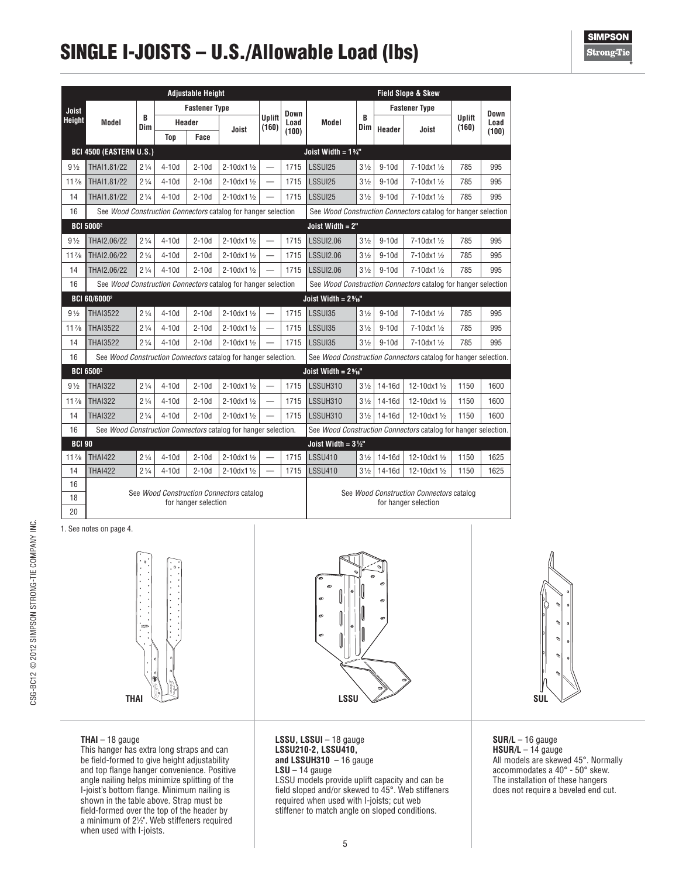# SINGLE I-JOISTS – U.S./Allowable Load (lbs)

| Down<br><b>Uplift</b><br>Load<br>(160)<br>(100)<br>785<br>995<br>785<br>995<br>785<br>995<br>See Wood Construction Connectors catalog for hanger selection<br>785<br>995 |
|--------------------------------------------------------------------------------------------------------------------------------------------------------------------------|
|                                                                                                                                                                          |
|                                                                                                                                                                          |
|                                                                                                                                                                          |
|                                                                                                                                                                          |
|                                                                                                                                                                          |
|                                                                                                                                                                          |
|                                                                                                                                                                          |
|                                                                                                                                                                          |
|                                                                                                                                                                          |
|                                                                                                                                                                          |
| 785<br>995                                                                                                                                                               |
| 785<br>995                                                                                                                                                               |
| See Wood Construction Connectors catalog for hanger selection                                                                                                            |
|                                                                                                                                                                          |
| 785<br>995                                                                                                                                                               |
| 995<br>785                                                                                                                                                               |
| 995<br>785                                                                                                                                                               |
| See Wood Construction Connectors catalog for hanger selection.                                                                                                           |
|                                                                                                                                                                          |
| 1150<br>1600                                                                                                                                                             |
| 1150<br>1600                                                                                                                                                             |
| 1150<br>1600                                                                                                                                                             |
| See Wood Construction Connectors catalog for hanger selection.                                                                                                           |
|                                                                                                                                                                          |
| 1150<br>1625                                                                                                                                                             |
| 1150<br>1625                                                                                                                                                             |
| See Wood Construction Connectors catalog                                                                                                                                 |
|                                                                                                                                                                          |
|                                                                                                                                                                          |

1. See notes on page 4.



**THAI LSSU SUL**

**THAI** – 18 gauge

This hanger has extra long straps and can be field-formed to give height adjustability and top flange hanger convenience. Positive angle nailing helps minimize splitting of the I-joist's bottom flange. Minimum nailing is shown in the table above. Strap must be field-formed over the top of the header by a minimum of 21 ⁄2". Web stiffeners required when used with I-joists.



LSSU models provide uplift capacity and can be field sloped and/or skewed to 45°. Web stiffeners required when used with I-joists; cut web stiffener to match angle on sloped conditions.



**SUR/L** – 16 gauge HSUR/L - 14 gauge All models are skewed 45°. Normally accommodates a 40° - 50° skew. The installation of these hangers does not require a beveled end cut.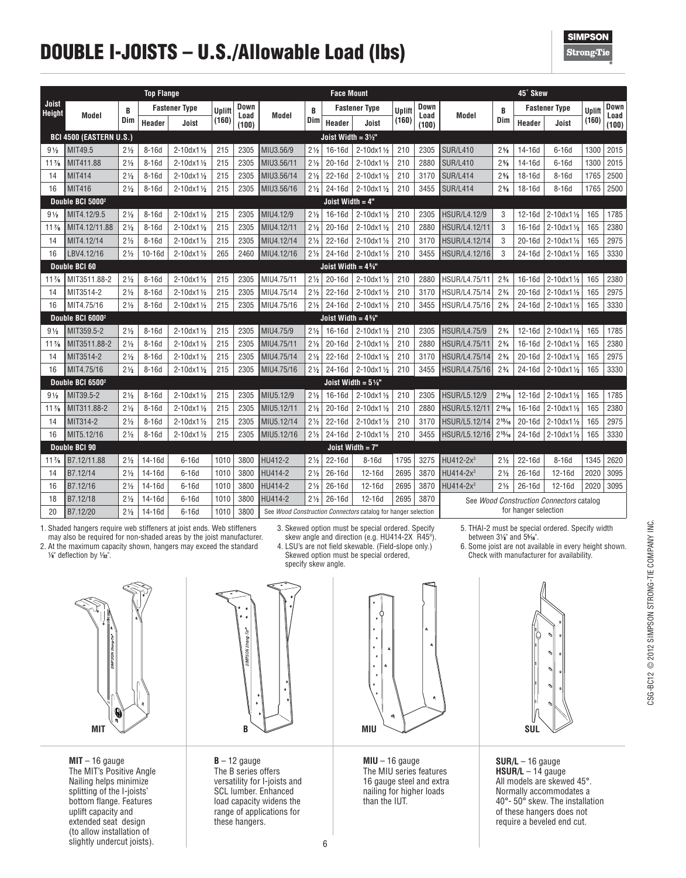# DOUBLE I-JOISTS – U.S./Allowable Load (lbs)

**SIMPSON Strong**Tie

|                 |                                |                | <b>Top Flange</b> |                           |               |               |                                                               |                | <b>Face Mount</b>              |                           |        |               |                       |                | 45° Skew             |                                          |        |               |
|-----------------|--------------------------------|----------------|-------------------|---------------------------|---------------|---------------|---------------------------------------------------------------|----------------|--------------------------------|---------------------------|--------|---------------|-----------------------|----------------|----------------------|------------------------------------------|--------|---------------|
| Joist<br>Height |                                | B              |                   | <b>Fastener Type</b>      | <b>Uplift</b> | Down          |                                                               | B              |                                | <b>Fastener Type</b>      | Uplift | Down          |                       | B              |                      | <b>Fastener Type</b>                     | Uplift | Down          |
|                 | Model                          | Dim            | Header            | Joist                     | (160)         | Load<br>(100) | Model                                                         | Dim            | Header                         | Joist                     | (160)  | Load<br>(100) | Model                 | Dim            | Header               | Joist                                    | (160)  | Load<br>(100) |
|                 | <b>BCI 4500 (EASTERN U.S.)</b> |                |                   |                           |               |               |                                                               |                | Joist Width = $3\frac{1}{2}$ " |                           |        |               |                       |                |                      |                                          |        |               |
| $9\frac{1}{2}$  | MIT49.5                        | $2\frac{1}{2}$ | $8-16d$           | $2 - 10dx1$ $V_2$         | 215           | 2305          | MIU3.56/9                                                     | $2\frac{1}{2}$ | 16-16d                         | 2-10dx11/2                | 210    | 2305          | <b>SUR/L410</b>       | $2\frac{5}{8}$ | 14-16d               | $6-16d$                                  | 1300   | 2015          |
| $11\%$          | MIT411.88                      | $2\frac{1}{2}$ | $8-16d$           | $2 - 10dx1\frac{1}{2}$    | 215           | 2305          | MIU3.56/11                                                    | $2\frac{1}{2}$ | $20-16d$                       | $2 - 10dx1$ $\frac{1}{2}$ | 210    | 2880          | <b>SUR/L410</b>       | $2\frac{5}{8}$ | $14 - 16d$           | $6-16d$                                  | 1300   | 2015          |
| 14              | <b>MIT414</b>                  | $2\frac{1}{2}$ | $8-16d$           | 2-10dx11/2                | 215           | 2305          | MIU3.56/14                                                    | $2\frac{1}{2}$ | $22-16d$                       | $2 - 10dx1$ $\frac{1}{2}$ | 210    | 3170          | <b>SUR/L414</b>       | $2\frac{5}{8}$ | 18-16d               | $8-16d$                                  | 1765   | 2500          |
| 16              | <b>MIT416</b>                  | $2\frac{1}{2}$ | $8-16d$           | $2 - 10dx1\frac{1}{2}$    | 215           | 2305          | MIU3.56/16                                                    | $2\frac{1}{2}$ | 24-16d                         | 2-10dx11/2                | 210    | 3455          | <b>SUR/L414</b>       | $2\frac{5}{8}$ | 18-16d               | $8-16d$                                  | 1765   | 2500          |
|                 | Double BCI 5000 <sup>2</sup>   |                |                   |                           |               |               |                                                               |                | Joist Width $= 4"$             |                           |        |               |                       |                |                      |                                          |        |               |
| $9\frac{1}{2}$  | MIT4.12/9.5                    | $2\frac{1}{2}$ | $8-16d$           | 2-10dx11/2                | 215           | 2305          | MIU4.12/9                                                     | $2\frac{1}{2}$ | 16-16d                         | 2-10dx11/2                | 210    | 2305          | <b>HSUR/L4.12/9</b>   | 3              | 12-16d               | $2 - 10dx1\frac{1}{2}$                   | 165    | 1785          |
| $11\%$          | MIT4.12/11.88                  | $2\frac{1}{2}$ | $8-16d$           | $2 - 10dx1\frac{1}{2}$    | 215           | 2305          | MIU4.12/11                                                    | $2\frac{1}{2}$ | $20-16d$                       | 2-10dx11/2                | 210    | 2880          | HSUR/L4.12/11         | 3              | 16-16d               | $2 - 10dx11/2$                           | 165    | 2380          |
| 14              | MIT4.12/14                     | $2\frac{1}{2}$ | $8-16d$           | $2 - 10dx1$ $V_2$         | 215           | 2305          | MIU4.12/14                                                    | $2\frac{1}{2}$ | $22-16d$                       | 2-10dx11/2                | 210    | 3170          | HSUR/L4.12/14         | 3              | $20-16d$             | 2-10dx11/2                               | 165    | 2975          |
| 16              | LBV4.12/16                     | $2\frac{1}{2}$ | $10-16d$          | $2 - 10dx1\frac{1}{2}$    | 265           | 2460          | MIU4.12/16                                                    | $2\frac{1}{2}$ | 24-16d                         | $2 - 10dx1\frac{1}{2}$    | 210    | 3455          | <b>HSUR/L4.12/16</b>  | 3              | 24-16d               | $2 - 10dx1$ $\frac{1}{2}$                | 165    | 3330          |
|                 | Double BCI 60                  |                |                   |                           |               |               |                                                               |                | Joist Width = $4\%$ "          |                           |        |               |                       |                |                      |                                          |        |               |
| $11\%$          | MIT3511.88-2                   | $2\frac{1}{2}$ | $8-16d$           | $2 - 10dx11/2$            | 215           | 2305          | MIU4.75/11                                                    | $2\frac{1}{2}$ | $20-16d$                       | $2 - 10dx1\frac{1}{2}$    | 210    | 2880          | HSUR/L4.75/11         | $2\frac{3}{4}$ | 16-16d               | $2 - 10dx1\frac{1}{2}$                   | 165    | 2380          |
| 14              | MIT3514-2                      | $2\frac{1}{2}$ | $8-16d$           | $2 - 10dx1$ $\frac{1}{2}$ | 215           | 2305          | MIU4.75/14                                                    | $2\frac{1}{2}$ | 22-16d                         | $2 - 10dx1$ $\frac{1}{2}$ | 210    | 3170          | HSUR/L4.75/14         | $2\frac{3}{4}$ | $20-16d$             | $2 - 10dx1$ $\frac{1}{2}$                | 165    | 2975          |
| 16              | MIT4.75/16                     | $2\frac{1}{2}$ | $8-16d$           | $2 - 10dx1\frac{1}{2}$    | 215           | 2305          | MIU4.75/16                                                    | $2\frac{1}{2}$ | 24-16d                         | $2 - 10dx1\frac{1}{2}$    | 210    | 3455          | HSUR/L4.75/16         | $2\frac{3}{4}$ | $24-16d$             | $2 - 10dx1\frac{1}{2}$                   | 165    | 3330          |
|                 | Double BCI 6000 <sup>2</sup>   |                |                   |                           |               |               |                                                               |                | Joist Width = $4\%$ "          |                           |        |               |                       |                |                      |                                          |        |               |
| $9\frac{1}{2}$  | MIT359.5-2                     | $2\frac{1}{2}$ | $8-16d$           | 2-10dx11/2                | 215           | 2305          | MIU4.75/9                                                     | $2\frac{1}{2}$ | 16-16d                         | $2 - 10dx1$ $V_2$         | 210    | 2305          | <b>HSUR/L4.75/9</b>   | $2\frac{3}{4}$ | 12-16d               | $2 - 10dx1\frac{1}{2}$                   | 165    | 1785          |
| $11\%$          | MIT3511.88-2                   | $2\frac{1}{2}$ | $8-16d$           | $2 - 10dx1$ $\frac{1}{2}$ | 215           | 2305          | MIU4.75/11                                                    | $2\frac{1}{2}$ | $20-16d$                       | 2-10dx11/2                | 210    | 2880          | <b>HSUR/L4.75/11</b>  | $2\frac{3}{4}$ | 16-16d               | $2 - 10dx1$ $\frac{1}{2}$                | 165    | 2380          |
| 14              | MIT3514-2                      | $2\frac{1}{2}$ | $8-16d$           | $2 - 10dx1\frac{1}{2}$    | 215           | 2305          | MIU4.75/14                                                    | $2\frac{1}{2}$ | 22-16d                         | 2-10dx11/2                | 210    | 3170          | HSUR/L4.75/14         | $2\frac{3}{4}$ | $20-16d$             | 2-10dx11/2                               | 165    | 2975          |
| 16              | MIT4.75/16                     | $2\frac{1}{2}$ | $8-16d$           | $2 - 10dx1\frac{1}{2}$    | 215           | 2305          | MIU4.75/16                                                    | $2\frac{1}{2}$ | 24-16d                         | $2 - 10dx1\frac{1}{2}$    | 210    | 3455          | HSUR/L4.75/16         | $2\frac{3}{4}$ | 24-16d               | $2 - 10dx1\frac{1}{2}$                   | 165    | 3330          |
|                 | Double BCI 6500 <sup>2</sup>   |                |                   |                           |               |               |                                                               |                | Joist Width = $5\%$ "          |                           |        |               |                       |                |                      |                                          |        |               |
| $9\frac{1}{2}$  | MIT39.5-2                      | $2\frac{1}{2}$ | $8-16d$           | 2-10dx11/2                | 215           | 2305          | MIU5.12/9                                                     | $2\frac{1}{2}$ | 16-16d                         | 2-10dx11/2                | 210    | 2305          | <b>HSUR/L5.12/9</b>   | $2^{13}/16$    | $12-16d$             | $2 - 10dx1\frac{1}{2}$                   | 165    | 1785          |
| $11\%$          | MIT311.88-2                    | $2\frac{1}{2}$ | $8-16d$           | $2 - 10dx1$ $\frac{1}{2}$ | 215           | 2305          | MIU5.12/11                                                    | $2\frac{1}{2}$ | 20-16d                         | 2-10dx11/2                | 210    | 2880          | HSUR/L5.12/11         | $2^{13}/16$    | 16-16d               | $2 - 10dx1\frac{1}{2}$                   | 165    | 2380          |
| 14              | MIT314-2                       | $2\frac{1}{2}$ | $8-16d$           | 2-10dx11/2                | 215           | 2305          | MIU5.12/14                                                    | $2\frac{1}{2}$ | 22-16d                         | 2-10dx11/2                | 210    | 3170          | HSUR/L5.12/14         | $2^{13}/16$    | 20-16d               | 2-10dx11/2                               | 165    | 2975          |
| 16              | MIT5.12/16                     | $2\frac{1}{2}$ | $8-16d$           | 2-10dx11/2                | 215           | 2305          | MIU5.12/16                                                    | $2\frac{1}{2}$ | 24-16d                         | 2-10dx11/2                | 210    | 3455          | HSUR/L5.12/16         | $2^{13}/16$    | $24-16d$             | $2 - 10dx1$ $V_2$                        | 165    | 3330          |
|                 | Double BCI 90                  |                |                   |                           |               |               |                                                               |                |                                | Joist Width $= 7"$        |        |               |                       |                |                      |                                          |        |               |
| $11\%$          | B7.12/11.88                    | $2\frac{1}{2}$ | 14-16d            | $6-16d$                   | 1010          | 3800          | HU412-2                                                       | $2\frac{1}{2}$ | $22 - 16d$                     | $8-16d$                   | 1795   | 3275          | HU412-2x <sup>3</sup> | $2\frac{1}{2}$ | 22-16d               | $8-16d$                                  | 1345   | 2620          |
| 14              | B7.12/14                       | $2\frac{1}{2}$ | $14 - 16d$        | $6-16d$                   | 1010          | 3800          | HU414-2                                                       | $2\frac{1}{2}$ | $26-16d$                       | $12-16d$                  | 2695   | 3870          | HU414-2x <sup>3</sup> | $2\frac{1}{2}$ | $26 - 16d$           | 12-16d                                   | 2020   | 3095          |
| 16              | B7.12/16                       | $2\frac{1}{2}$ | 14-16d            | $6-16d$                   | 1010          | 3800          | HU414-2                                                       | $2\frac{1}{2}$ | 26-16d                         | $12-16d$                  | 2695   | 3870          | HU414-2x <sup>3</sup> | $2\frac{1}{2}$ | 26-16d               | 12-16d                                   | 2020   | 3095          |
| 18              | B7.12/18                       | $2\frac{1}{2}$ | 14-16d            | $6-16d$                   | 1010          | 3800          | HU414-2                                                       | $2\frac{1}{2}$ | 26-16d                         | $12-16d$                  | 2695   | 3870          |                       |                |                      | See Wood Construction Connectors catalog |        |               |
| 20              | B7.12/20                       | $2\frac{1}{2}$ | 14-16d            | $6-16d$                   | 1010          | 3800          | See Wood Construction Connectors catalog for hanger selection |                |                                |                           |        |               |                       |                | for hanger selection |                                          |        |               |

1. Shaded hangers require web stiffeners at joist ends. Web stiffeners may also be required for non-shaded areas by the joist manufacturer. 2. At the maximum capacity shown, hangers may exceed the standard

1 ⁄8" deflection by 1 ⁄32".



**MIT** – 16 gauge The MIT's Positive Angle Nailing helps minimize splitting of the I-joists' bottom flange. Features uplift capacity and extended seat design (to allow installation of slightly undercut joists).

3. Skewed option must be special ordered. Specify skew angle and direction (e.g. HU414-2X R45º).

4. LSU's are not field skewable. (Field-slope only.) Skewed option must be special ordered, specify skew angle.

5. THAI-2 must be special ordered. Specify width

between 31 ⁄8" and 55 ⁄16". 6. Some joist are not available in every height shown.

Check with manufacturer for availability.



**B** – 12 gauge The B series offers versatility for I-joists and SCL lumber. Enhanced load capacity widens the range of applications for these hangers.



**MIU** – 16 gauge The MIU series features 16 gauge steel and extra nailing for higher loads than the IUT.



**SUR/L** – 16 gauge **HSUR/L** – 14 gauge All models are skewed 45°. Normally accommodates a 40°- 50° skew. The installation of these hangers does not require a beveled end cut.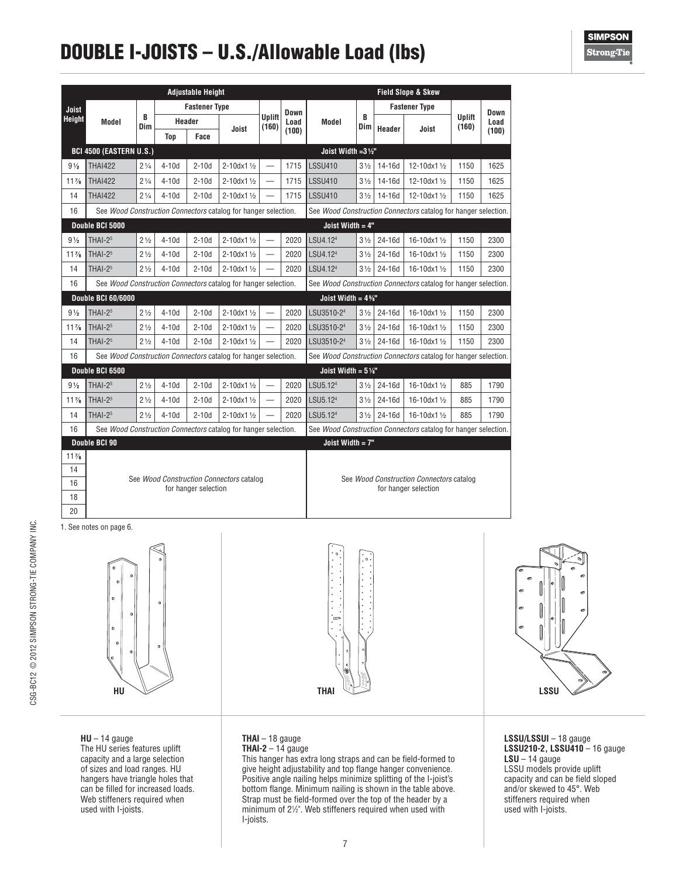# DOUBLE I-JOISTS – U.S./Allowable Load (lbs)

|                |                                                                |                |            | <b>Adjustable Height</b> |                                                                |                                 |       |                                                                |                  |            | <b>Field Slope &amp; Skew</b>            |                        |       |
|----------------|----------------------------------------------------------------|----------------|------------|--------------------------|----------------------------------------------------------------|---------------------------------|-------|----------------------------------------------------------------|------------------|------------|------------------------------------------|------------------------|-------|
| <b>Joist</b>   |                                                                |                |            | <b>Fastener Type</b>     |                                                                |                                 | Down  |                                                                |                  |            | <b>Fastener Type</b>                     |                        | Down  |
| <b>Height</b>  | Model                                                          | B<br>Dim       | Header     |                          | Joist                                                          | Uplift<br>(160)                 | Load  | Model                                                          | B<br>Dim         | Header     | Joist                                    | <b>Uplift</b><br>(160) | Load  |
|                |                                                                |                | <b>Top</b> | Face                     |                                                                |                                 | (100) |                                                                |                  |            |                                          |                        | (100) |
|                | <b>BCI 4500 (EASTERN U.S.)</b>                                 |                |            |                          |                                                                |                                 |       | Joist Width = $3\frac{1}{2}$ "                                 |                  |            |                                          |                        |       |
| $9\frac{1}{2}$ | <b>THAI422</b>                                                 | $2\frac{1}{4}$ | $4-10d$    | $2-10d$                  | 2-10dx11/2                                                     |                                 | 1715  | <b>LSSU410</b>                                                 | $3\frac{1}{2}$   | 14-16d     | 12-10dx11/2                              | 1150                   | 1625  |
| $11\%$         | <b>THAI422</b>                                                 | $2\frac{1}{4}$ | $4-10d$    | $2-10d$                  | 2-10dx11/2                                                     | $\equiv$                        | 1715  | <b>LSSU410</b>                                                 | 3 <sub>1/2</sub> | 14-16d     | 12-10dx11/                               | 1150                   | 1625  |
| 14             | <b>THAI422</b>                                                 | $2\frac{1}{4}$ | $4-10d$    | $2-10d$                  | 2-10dx11/2                                                     | $\overbrace{\phantom{1232211}}$ | 1715  | <b>LSSU410</b>                                                 | $3\frac{1}{2}$   | 14-16d     | 12-10dx11/2                              | 1150                   | 1625  |
| 16             | See Wood Construction Connectors catalog for hanger selection. |                |            |                          |                                                                |                                 |       | See Wood Construction Connectors catalog for hanger selection. |                  |            |                                          |                        |       |
|                | Double BCI 5000                                                |                |            |                          |                                                                |                                 |       | Joist Width = 4"                                               |                  |            |                                          |                        |       |
| $9\frac{1}{2}$ | THAI-2 <sup>5</sup>                                            | $2\frac{1}{2}$ | $4-10d$    | $2-10d$                  | $2 - 10dx1$ 1/2                                                | $\overline{\phantom{0}}$        | 2020  | LSU4.124                                                       | 3 <sub>1/2</sub> | $24 - 16d$ | 16-10dx11/                               | 1150                   | 2300  |
| $11\%$         | THAI-2 <sup>5</sup>                                            | $2\frac{1}{2}$ | $4-10d$    | $2-10d$                  | 2-10dx11/2                                                     | $\equiv$                        | 2020  | LSU4.124                                                       | 3 <sub>1/2</sub> | 24-16d     | 16-10dx11/2                              | 1150                   | 2300  |
| 14             | THAI-2 <sup>5</sup>                                            | 21/2           | $4-10d$    | $2-10d$                  | 2-10dx11/2                                                     | $\overbrace{\phantom{1232211}}$ | 2020  | LSU4.124                                                       | 3 <sub>1/2</sub> | $24-16d$   | 16-10dx11/2                              | 1150                   | 2300  |
| 16             | See Wood Construction Connectors catalog for hanger selection. |                |            |                          |                                                                |                                 |       | See Wood Construction Connectors catalog for hanger selection. |                  |            |                                          |                        |       |
|                | <b>Double BCI 60/6000</b>                                      |                |            |                          |                                                                |                                 |       | Joist Width = $4\%$ "                                          |                  |            |                                          |                        |       |
| $9\frac{1}{2}$ | THAI- $25$                                                     | $2\frac{1}{2}$ | $4-10d$    | $2-10d$                  | 2-10dx11/2                                                     | $\qquad \qquad$                 | 2020  | LSU3510-2 <sup>4</sup>                                         | $3\frac{1}{2}$   | $24-16d$   | 16-10dx11/2                              | 1150                   | 2300  |
| $11\%$         | THAI-2 <sup>5</sup>                                            | $2\frac{1}{2}$ | $4-10d$    | $2-10d$                  | 2-10dx11/2                                                     |                                 | 2020  | LSU3510-24                                                     | 3 <sub>1/2</sub> | 24-16d     | 16-10dx11/2                              | 1150                   | 2300  |
| 14             | THAI- $25$                                                     | 21/2           | $4-10d$    | $2-10d$                  | 2-10dx11/2                                                     | $\overbrace{\phantom{1232211}}$ | 2020  | LSU3510-2 <sup>4</sup>                                         | $3\frac{1}{2}$   | 24-16d     | 16-10dx11/2                              | 1150                   | 2300  |
| 16             |                                                                |                |            |                          | See Wood Construction Connectors catalog for hanger selection. |                                 |       | See Wood Construction Connectors catalog for hanger selection. |                  |            |                                          |                        |       |
|                | Double BCI 6500                                                |                |            |                          |                                                                |                                 |       | Joist Width = $5\%$ "                                          |                  |            |                                          |                        |       |
| $9\frac{1}{2}$ | THAI-2 <sup>5</sup>                                            | $2\frac{1}{2}$ | $4-10d$    | $2-10d$                  | 2-10dx11/2                                                     | $\overbrace{\phantom{1232211}}$ | 2020  | LSU5.124                                                       | $3\frac{1}{2}$   | 24-16d     | 16-10dx11/2                              | 885                    | 1790  |
| $11\%$         | THAI- $25$                                                     | $2\frac{1}{2}$ | $4-10d$    | $2-10d$                  | 2-10dx11/2                                                     | $\overbrace{\phantom{1232211}}$ | 2020  | LSU5.12 <sup>4</sup>                                           | 3 <sub>1/2</sub> | 24-16d     | 16-10dx11/2                              | 885                    | 1790  |
| 14             | THAI-2 <sup>5</sup>                                            | $2\frac{1}{2}$ | $4-10d$    | $2-10d$                  | 2-10dx11/2                                                     |                                 | 2020  | LSU5.124                                                       | 3 <sub>1/2</sub> | $24-16d$   | 16-10dx11/2                              | 885                    | 1790  |
| 16             | See Wood Construction Connectors catalog for hanger selection. |                |            |                          |                                                                |                                 |       | See Wood Construction Connectors catalog for hanger selection. |                  |            |                                          |                        |       |
|                | Double BCI 90                                                  |                |            |                          |                                                                |                                 |       | Joist Width = 7"                                               |                  |            |                                          |                        |       |
| $11\%$         |                                                                |                |            |                          |                                                                |                                 |       |                                                                |                  |            |                                          |                        |       |
| 14             |                                                                |                |            |                          | See Wood Construction Connectors catalog                       |                                 |       |                                                                |                  |            | See Wood Construction Connectors catalog |                        |       |
| 16             |                                                                |                |            | for hanger selection     |                                                                |                                 |       |                                                                |                  |            | for hanger selection                     |                        |       |

1. See notes on page 6.

18 20

CSG-BC12 © 2012 SIMPSON STRONG-TIE COMPANY INC.

CSG-BC12 @ 2012 SIMPSON STRONG-TIE COMPANY INC.



**HU THAI LSSU**



**HU** – 14 gauge

The HU series features uplift capacity and a large selection of sizes and load ranges. HU hangers have triangle holes that can be filled for increased loads. Web stiffeners required when used with I-joists.

#### **THAI** – 18 gauge **THAI-2** – 14 gauge

This hanger has extra long straps and can be field-formed to give height adjustability and top flange hanger convenience. Positive angle nailing helps minimize splitting of the I-joist's bottom flange. Minimum nailing is shown in the table above. Strap must be field-formed over the top of the header by a minimum of 21 ⁄2". Web stiffeners required when used with I-joists.

**LSSU/LSSUI** – 18 gauge **LSSU210-2, LSSU410** – 16 gauge **LSU** – 14 gauge LSSU models provide uplift capacity and can be field sloped and/or skewed to 45°. Web stiffeners required when used with I-joists.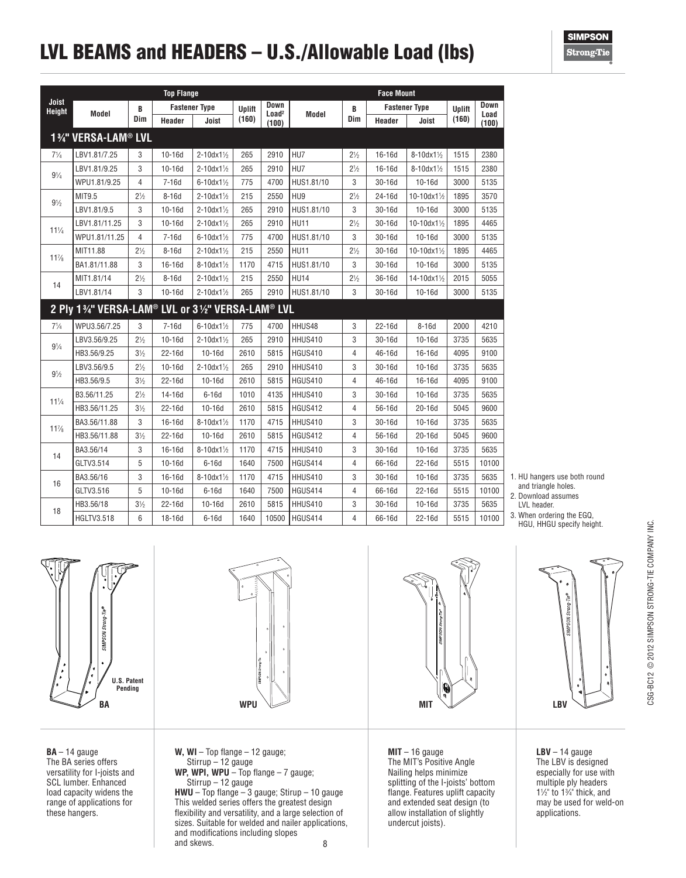# LVL BEAMS and HEADERS – U.S./Allowable Load (lbs)

**SIMPSON Strong**Tie

|                        |                                                |                | <b>Top Flange</b> |                        |        |                                  |                  |                | <b>Face Mount</b> |                      |               |              |
|------------------------|------------------------------------------------|----------------|-------------------|------------------------|--------|----------------------------------|------------------|----------------|-------------------|----------------------|---------------|--------------|
| Joist<br><b>Height</b> | Model                                          | B              |                   | <b>Fastener Type</b>   | Uplift | <b>Down</b><br>Load <sup>2</sup> | Model            | B              |                   | <b>Fastener Type</b> | <b>Uplift</b> | Down<br>Load |
|                        |                                                | Dim            | Header            | Joist                  | (160)  | (100)                            |                  | Dim            | Header            | Joist                | (160)         | (100)        |
|                        | 1%" VERSA-LAM® LVL                             |                |                   |                        |        |                                  |                  |                |                   |                      |               |              |
| $7\frac{1}{4}$         | LBV1.81/7.25                                   | 3              | $10-16d$          | $2 - 10dx1\%$          | 265    | 2910                             | HU7              | $2\frac{1}{2}$ | 16-16d            | 8-10dx11/2           | 1515          | 2380         |
| $9\frac{1}{4}$         | LBV1.81/9.25                                   | 3              | $10 - 16d$        | $2 - 10dx1\%$          | 265    | 2910                             | HU7              | $2\frac{1}{2}$ | $16 - 16d$        | 8-10dx11/            | 1515          | 2380         |
|                        | WPU1.81/9.25                                   | $\overline{4}$ | $7-16d$           | $6 - 10dx1\frac{1}{2}$ | 775    | 4700                             | HUS1.81/10       | 3              | 30-16d            | $10-16d$             | 3000          | 5135         |
| $9\frac{1}{2}$         | MIT9.5                                         | $2\frac{1}{2}$ | $8-16d$           | 2-10dx11/2             | 215    | 2550                             | HU <sub>9</sub>  | $2\frac{1}{2}$ | 24-16d            | 10-10dx11/2          | 1895          | 3570         |
|                        | LBV1.81/9.5                                    | 3              | $10-16d$          | $2 - 10dx1\frac{1}{2}$ | 265    | 2910                             | HUS1.81/10       | 3              | 30-16d            | $10-16d$             | 3000          | 5135         |
| $11\frac{1}{4}$        | LBV1.81/11.25                                  | 3              | $10-16d$          | $2 - 10dx1\frac{1}{2}$ | 265    | 2910                             | <b>HU11</b>      | $2\frac{1}{2}$ | 30-16d            | 10-10dx11/2          | 1895          | 4465         |
|                        | WPU1.81/11.25                                  | 4              | $7-16d$           | $6 - 10dx1\frac{1}{2}$ | 775    | 4700                             | HUS1.81/10       | 3              | $30-16d$          | $10-16d$             | 3000          | 5135         |
| $11\%$                 | MIT11.88                                       | $2\frac{1}{2}$ | $8-16d$           | 2-10dx11/              | 215    | 2550                             | <b>HU11</b>      | $2\frac{1}{2}$ | 30-16d            | $10-10dx1%$          | 1895          | 4465         |
|                        | BA1.81/11.88                                   | 3              | 16-16d            | 8-10dx11/              | 1170   | 4715                             | HUS1.81/10       | 3              | 30-16d            | $10-16d$             | 3000          | 5135         |
| 14                     | MIT1.81/14                                     | $2\frac{1}{2}$ | $8-16d$           | $2 - 10dx1\%$          | 215    | 2550                             | HU <sub>14</sub> | $2\frac{1}{2}$ | 36-16d            | 14-10dx11/2          | 2015          | 5055         |
|                        | LBV1.81/14                                     | 3              | $10-16d$          | $2 - 10dx1\frac{1}{2}$ | 265    | 2910                             | HUS1.81/10       | 3              | 30-16d            | $10-16d$             | 3000          | 5135         |
|                        | 2 Ply 1%" VERSA-LAM® LVL or 3%" VERSA-LAM® LVL |                |                   |                        |        |                                  |                  |                |                   |                      |               |              |
| $7\frac{1}{4}$         | WPU3.56/7.25                                   | 3              | $7-16d$           | $6 - 10dx1\frac{1}{2}$ | 775    | 4700                             | HHUS48           | 3              | 22-16d            | $8-16d$              | 2000          | 4210         |
| $9\frac{1}{4}$         | LBV3.56/9.25                                   | $2\frac{1}{2}$ | $10-16d$          | 2-10dx11/              | 265    | 2910                             | HHUS410          | 3              | 30-16d            | $10-16d$             | 3735          | 5635         |
|                        | HB3.56/9.25                                    | $3\frac{1}{2}$ | $22 - 16d$        | $10-16d$               | 2610   | 5815                             | <b>HGUS410</b>   | 4              | 46-16d            | $16-16d$             | 4095          | 9100         |
| $9\frac{1}{2}$         | LBV3.56/9.5                                    | $2\frac{1}{2}$ | $10-16d$          | 2-10dx11/              | 265    | 2910                             | HHUS410          | 3              | 30-16d            | $10-16d$             | 3735          | 5635         |
|                        | HB3.56/9.5                                     | $3\frac{1}{2}$ | $22 - 16d$        | 10-16d                 | 2610   | 5815                             | <b>HGUS410</b>   | 4              | 46-16d            | 16-16d               | 4095          | 9100         |
| $11\frac{1}{4}$        | B3.56/11.25                                    | $2\frac{1}{2}$ | 14-16d            | $6-16d$                | 1010   | 4135                             | HHUS410          | 3              | 30-16d            | $10-16d$             | 3735          | 5635         |
|                        | HB3.56/11.25                                   | $3\frac{1}{2}$ | 22-16d            | $10-16d$               | 2610   | 5815                             | <b>HGUS412</b>   | 4              | 56-16d            | $20-16d$             | 5045          | 9600         |
| $11\%$                 | BA3.56/11.88                                   | 3              | 16-16d            | $8 - 10dx1\frac{1}{2}$ | 1170   | 4715                             | HHUS410          | 3              | $30-16d$          | $10-16d$             | 3735          | 5635         |
|                        | HB3.56/11.88                                   | $3\frac{1}{2}$ | 22-16d            | $10-16d$               | 2610   | 5815                             | <b>HGUS412</b>   | 4              | 56-16d            | $20-16d$             | 5045          | 9600         |
| 14                     | BA3.56/14                                      | 3              | 16-16d            | 8-10dx11/              | 1170   | 4715                             | HHUS410          | 3              | 30-16d            | $10-16d$             | 3735          | 5635         |
|                        | GLTV3.514                                      | 5              | $10-16d$          | $6-16d$                | 1640   | 7500                             | HGUS414          | 4              | 66-16d            | $22 - 16d$           | 5515          | 10100        |
| 16                     | BA3.56/16                                      | 3              | 16-16d            | 8-10dx11/              | 1170   | 4715                             | HHUS410          | 3              | 30-16d            | $10-16d$             | 3735          | 5635         |
|                        | GLTV3.516                                      | 5              | $10-16d$          | $6-16d$                | 1640   | 7500                             | HGUS414          | 4              | 66-16d            | 22-16d               | 5515          | 10100        |
| 18                     | HB3.56/18                                      | $3\frac{1}{2}$ | 22-16d            | $10-16d$               | 2610   | 5815                             | HHUS410          | 3              | 30-16d            | $10-16d$             | 3735          | 5635         |
|                        | <b>HGLTV3.518</b>                              | 6              | 18-16d            | 6-16d                  | 1640   | 10500                            | HGUS414          | 4              | 66-16d            | 22-16d               | 5515          | 10100        |



2. Download assumes

LVL header.

3. When ordering the EGQ, HGU, HHGU specify height.



**BA** – 14 gauge The BA series offers versatility for I-joists and SCL lumber. Enhanced load capacity widens the range of applications for these hangers.



8 **W, WI** – Top flange – 12 gauge; Stirrup – 12 gauge **WP, WPI, WPU** – Top flange – 7 gauge; Stirrup – 12 gauge **HWU** – Top flange – 3 gauge; Stirup – 10 gauge This welded series offers the greatest design flexibility and versatility, and a large selection of sizes. Suitable for welded and nailer applications, and modifications including slopes and skews.



**MIT** – 16 gauge The MIT's Positive Angle Nailing helps minimize splitting of the I-joists' bottom flange. Features uplift capacity and extended seat design (to allow installation of slightly undercut joists).



**LBV** – 14 gauge The LBV is designed especially for use with multiple ply headers  $1\frac{1}{2}$ " to  $1\frac{3}{4}$ " thick, and may be used for weld-on applications.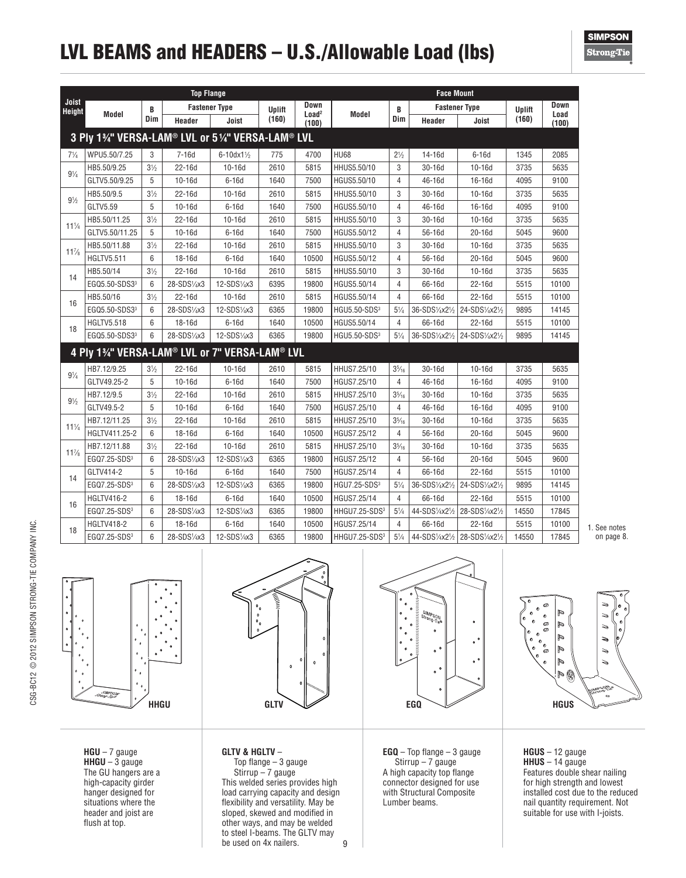# LVL BEAMS and HEADERS – U.S./Allowable Load (lbs)

|                        |                                                 |                 | <b>Top Flange</b> |                      |               |                            |                           |                 | <b>Face Mount</b>    |                |        |               |
|------------------------|-------------------------------------------------|-----------------|-------------------|----------------------|---------------|----------------------------|---------------------------|-----------------|----------------------|----------------|--------|---------------|
| Joist<br><b>Height</b> |                                                 | B               |                   | <b>Fastener Type</b> | <b>Uplift</b> | Down                       |                           | B               | <b>Fastener Type</b> |                | Uplift | Down          |
|                        | Model                                           | Dim             | Header            | Joist                | (160)         | Load <sup>2</sup><br>(100) | Model                     | Dim             | Header               | Joist          | (160)  | Load<br>(100) |
|                        | 3 Ply 1%" VERSA-LAM® LVL or 5%" VERSA-LAM® LVL  |                 |                   |                      |               |                            |                           |                 |                      |                |        |               |
| $7\frac{1}{4}$         | WPU5.50/7.25                                    | 3               | 7-16d             | $6 - 10dx1\%$        | 775           | 4700                       | <b>HU68</b>               | $2\frac{1}{2}$  | 14-16d               | $6-16d$        | 1345   | 2085          |
| $9\frac{1}{4}$         | HB5.50/9.25                                     | $3\frac{1}{2}$  | 22-16d            | $10-16d$             | 2610          | 5815                       | HHUS5.50/10               | 3               | 30-16d               | $10-16d$       | 3735   | 5635          |
|                        | GLTV5.50/9.25                                   | 5               | $10-16d$          | $6-16d$              | 1640          | 7500                       | HGUS5.50/10               | 4               | 46-16d               | 16-16d         | 4095   | 9100          |
| $9\frac{1}{2}$         | HB5.50/9.5                                      | $3\frac{1}{2}$  | 22-16d            | $10-16d$             | 2610          | 5815                       | HHUS5.50/10               | 3               | 30-16d               | $10-16d$       | 3735   | 5635          |
|                        | GLTV5.59                                        | 5               | $10-16d$          | $6-16d$              | 1640          | 7500                       | HGUS5.50/10               | 4               | 46-16d               | 16-16d         | 4095   | 9100          |
|                        | HB5.50/11.25                                    | $3\frac{1}{2}$  | 22-16d            | $10-16d$             | 2610          | 5815                       | HHUS5.50/10               | 3               | 30-16d               | $10-16d$       | 3735   | 5635          |
| $11^{1}/4$             | GLTV5.50/11.25                                  | 5               | $10-16d$          | $6-16d$              | 1640          | 7500                       | HGUS5.50/12               | 4               | 56-16d               | $20-16d$       | 5045   | 9600          |
| $11\%$                 | HB5.50/11.88                                    | $3\frac{1}{2}$  | 22-16d            | $10-16d$             | 2610          | 5815                       | HHUS5.50/10               | 3               | 30-16d               | $10-16d$       | 3735   | 5635          |
|                        | <b>HGLTV5.511</b>                               | 6               | 18-16d            | $6-16d$              | 1640          | 10500                      | HGUS5.50/12               | 4               | 56-16d               | $20-16d$       | 5045   | 9600          |
| 14                     | HB5.50/14                                       | $3\frac{1}{2}$  | $22 - 16d$        | $10-16d$             | 2610          | 5815                       | HHUS5.50/10               | 3               | $30-16d$             | $10-16d$       | 3735   | 5635          |
|                        | EGQ5.50-SDS3 <sup>3</sup>                       | 6               | 28-SDS1/4x3       | 12-SDS1/4x3          | 6395          | 19800                      | HGUS5.50/14               | 4               | 66-16d               | 22-16d         | 5515   | 10100         |
| 16                     | HB5.50/16                                       | $3\frac{1}{2}$  | 22-16d            | $10-16d$             | 2610          | 5815                       | HGUS5.50/14               | 4               | 66-16d               | 22-16d         | 5515   | 10100         |
|                        | EGQ5.50-SDS33                                   | 6               | 28-SDS1/4x3       | 12-SDS1/4x3          | 6365          | 19800                      | HGU5.50-SDS <sup>3</sup>  | $5\frac{1}{4}$  | 36-SDS1/4x21/2       | 24-SDS1/4x21/2 | 9895   | 14145         |
| 18                     | <b>HGLTV5.518</b>                               | 6               | 18-16d            | $6-16d$              | 1640          | 10500                      | HGUS5.50/14               | $\overline{4}$  | 66-16d               | 22-16d         | 5515   | 10100         |
|                        | EGQ5.50-SDS33                                   | 6               | 28-SDS1/4x3       | 12-SDS1/4x3          | 6365          | 19800                      | HGU5.50-SDS <sup>3</sup>  | $5\frac{1}{4}$  | 36-SDS1/4x21/2       | 24-SDS1/4x21/2 | 9895   | 14145         |
|                        | 4 Ply 13/4" VERSA-LAM® LVL or 7" VERSA-LAM® LVL |                 |                   |                      |               |                            |                           |                 |                      |                |        |               |
|                        | HB7.12/9.25                                     | $3\frac{1}{2}$  | 22-16d            | $10-16d$             | 2610          | 5815                       | HHUS7.25/10               | $3\frac{5}{16}$ | 30-16d               | $10 - 16d$     | 3735   | 5635          |
| $9\frac{1}{4}$         | GLTV49.25-2                                     | 5               | $10-16d$          | $6-16d$              | 1640          | 7500                       | HGUS7.25/10               | 4               | 46-16d               | 16-16d         | 4095   | 9100          |
|                        | HB7.12/9.5                                      | $3\frac{1}{2}$  | 22-16d            | $10-16d$             | 2610          | 5815                       | HHUS7.25/10               | $3\frac{5}{16}$ | 30-16d               | $10-16d$       | 3735   | 5635          |
| $9\frac{1}{2}$         | GLTV49.5-2                                      | 5               | $10-16d$          | $6-16d$              | 1640          | 7500                       | HGUS7.25/10               | 4               | 46-16d               | 16-16d         | 4095   | 9100          |
|                        | HB7.12/11.25                                    | $3\frac{1}{2}$  | 22-16d            | $10-16d$             | 2610          | 5815                       | HHUS7.25/10               | $3\frac{5}{16}$ | $30-16d$             | $10-16d$       | 3735   | 5635          |
| $11\frac{1}{4}$        | HGLTV411.25-2                                   | 6               | 18-16d            | $6-16d$              | 1640          | 10500                      | HGUS7.25/12               | 4               | 56-16d               | 20-16d         | 5045   | 9600          |
|                        | HB7.12/11.88                                    | $3\frac{1}{2}$  | 22-16d            | $10-16d$             | 2610          | 5815                       | HHUS7.25/10               | $3\frac{5}{16}$ | 30-16d               | $10-16d$       | 3735   | 5635          |
| $11\%$                 | EGQ7.25-SDS <sup>3</sup>                        | $6\overline{6}$ | 28-SDS1/4x3       | 12-SDS1/4x3          | 6365          | 19800                      | HGUS7.25/12               | 4               | 56-16d               | $20-16d$       | 5045   | 9600          |
|                        | GLTV414-2                                       | 5               | $10-16d$          | $6-16d$              | 1640          | 7500                       | HGUS7.25/14               | 4               | 66-16d               | 22-16d         | 5515   | 10100         |
| 14                     | EGQ7.25-SDS <sup>3</sup>                        | 6               | 28-SDS1/4x3       | 12-SDS1/4x3          | 6365          | 19800                      | HGU7.25-SDS <sup>3</sup>  | $5\frac{1}{4}$  | 36-SDS1/4x21/2       | 24-SDS1/4x21/2 | 9895   | 14145         |
|                        | <b>HGLTV416-2</b>                               | 6               | 18-16d            | $6-16d$              | 1640          | 10500                      | HGUS7.25/14               | $\overline{4}$  | 66-16d               | 22-16d         | 5515   | 10100         |
| 16                     | EGQ7.25-SDS <sup>3</sup>                        | 6               | 28-SDS1/4x3       | 12-SDS1/4x3          | 6365          | 19800                      | HHGU7.25-SDS <sup>3</sup> | $5\frac{1}{4}$  | 44-SDS1/4x21/2       | 28-SDS1/4x21/2 | 14550  | 17845         |
| 18                     | <b>HGLTV418-2</b>                               | 6               | 18-16d            | $6-16d$              | 1640          | 10500                      | HGUS7.25/14               | 4               | 66-16d               | 22-16d         | 5515   | 10100         |
|                        | EGQ7.25-SDS <sup>3</sup>                        | $6\overline{6}$ | 28-SDS1/4x3       | 12-SDS1/4x3          | 6365          | 19800                      | HHGU7.25-SDS <sup>3</sup> | $5\frac{1}{4}$  | 44-SDS1/4x21/2       | 28-SDS1/4x21/2 | 14550  | 17845         |

1. See notes on page 8.



**HGU** – 7 gauge **HHGU** – 3 gauge The GU hangers are a high-capacity girder hanger designed for situations where the header and joist are flush at top.



9 **GLTV & HGLTV** – Top flange – 3 gauge Stirrup – 7 gauge This welded series provides high load carrying capacity and design flexibility and versatility. May be sloped, skewed and modified in other ways, and may be welded to steel I-beams. The GLTV may be used on 4x nailers.



**EGQ** – Top flange – 3 gauge  $Stirrup - 7 gauge$ A high capacity top flange connector designed for use with Structural Composite Lumber beams.



**HGUS** – 12 gauge **HHUS** – 14 gauge Features double shear nailing for high strength and lowest installed cost due to the reduced nail quantity requirement. Not suitable for use with I-joists.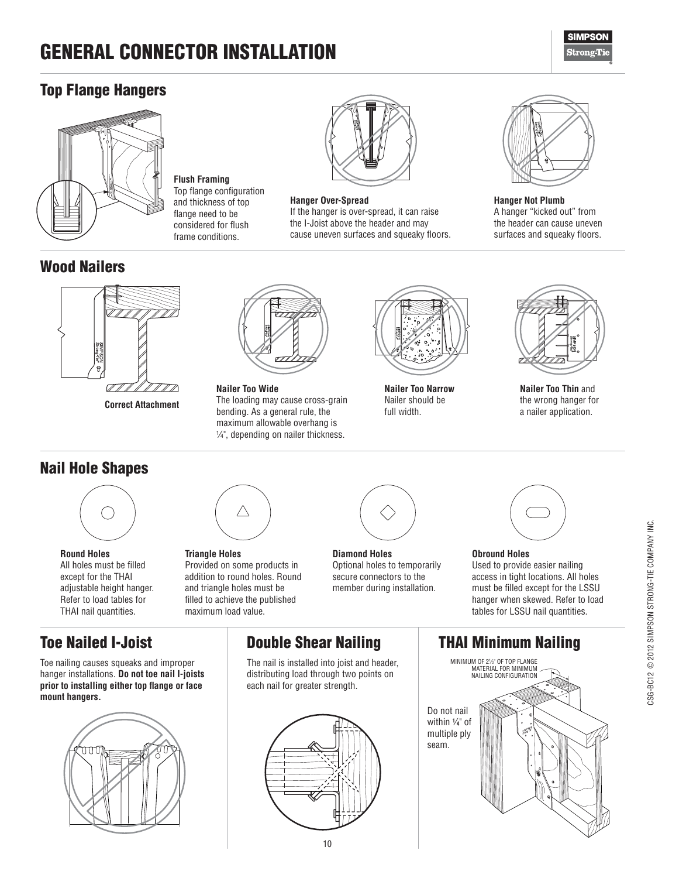# GENERAL CONNECTOR INSTALLATION

**Flush Framing** Top flange configuration and thickness of top flange need to be considered for flush frame conditions.



### Top Flange Hangers



### Wood Nailers



**Correct Attachment**

## Nail Hole Shapes



**Round Holes** All holes must be filled except for the THAI adjustable height hanger. Refer to load tables for THAI nail quantities.

## Toe Nailed I-Joist

Toe nailing causes squeaks and improper hanger installations. **Do not toe nail I-joists prior to installing either top flange or face mount hangers.**





**Nailer Too Wide** The loading may cause cross-grain bending. As a general rule, the maximum allowable overhang is 1 ⁄4", depending on nailer thickness.



#### **Hanger Over-Spread**

If the hanger is over-spread, it can raise the I-Joist above the header and may cause uneven surfaces and squeaky floors.



**Hanger Not Plumb** A hanger "kicked out" from the header can cause uneven surfaces and squeaky floors.



**Nailer Too Thin** and the wrong hanger for a nailer application.



**Triangle Holes** Provided on some products in addition to round holes. Round and triangle holes must be filled to achieve the published maximum load value.

 $\triangle$ 



**Nailer Too Narrow** Nailer should be full width.

**Diamond Holes** Optional holes to temporarily secure connectors to the member during installation.



#### **Obround Holes** Used to provide easier nailing access in tight locations. All holes must be filled except for the LSSU hanger when skewed. Refer to load tables for LSSU nail quantities.

## Double Shear Nailing

The nail is installed into joist and header, distributing load through two points on each nail for greater strength.



### THAI Minimum Nailing

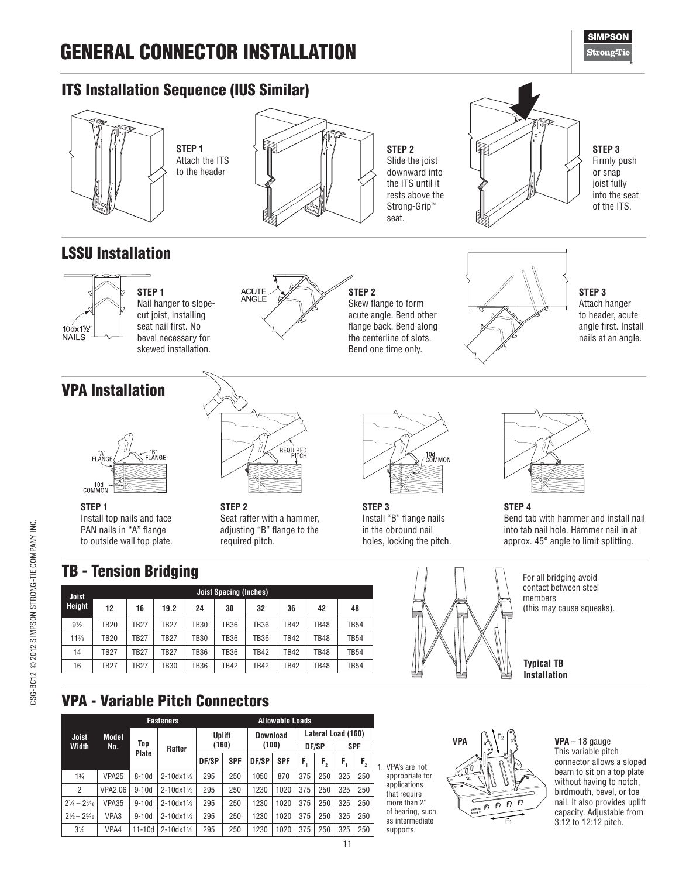# GENERAL CONNECTOR INSTALLATION

## ITS Installation Sequence (IUS Similar)



**STEP 1** Attach the ITS to the header



**STEP 2** Slide the joist downward into the ITS until it rests above the Strong-Grip™ seat.



**STEP 3** Firmly push or snap joist fully into the seat of the ITS.

## LSSU Installation



**STEP 1** Nail hanger to slopecut joist, installing seat nail first. No bevel necessary for skewed installation.



**STEP 2** Skew flange to form acute angle. Bend other flange back. Bend along the centerline of slots. Bend one time only.



**STEP 3** Attach hanger to header, acute angle first. Install nails at an angle.

## VPA Installation



Install top nails and face PAN nails in "A" flange to outside wall top plate.



**STEP 2** Seat rafter with a hammer, adjusting "B" flange to the required pitch.



**STEP 3** Install "B" flange nails in the obround nail holes, locking the pitch.



**STEP 4** Bend tab with hammer and install nail into tab nail hole. Hammer nail in at approx. 45° angle to limit splitting.

For all bridging avoid contact between steel members (this may cause squeaks).

**Typical TB Installation**

VPA - Variable Pitch Connectors

|                                  |                   |            | <b>Fasteners</b>       |        |            |          | <b>Allowable Loads</b> |     |                    |     |            |
|----------------------------------|-------------------|------------|------------------------|--------|------------|----------|------------------------|-----|--------------------|-----|------------|
| Joist                            | Model             |            |                        | Uplift |            | Download |                        |     | Lateral Load (160) |     |            |
| Width                            | No.               | Top        | Rafter                 | (160)  |            | (100)    |                        |     | DF/SP              |     | <b>SPF</b> |
|                                  |                   | Plate      |                        | DF/SP  | <b>SPF</b> | DF/SP    | <b>SPF</b>             | F.  | F <sub>2</sub>     | F.  | $F_{2}$    |
| 1%                               | VPA <sub>25</sub> | $8-10d$    | $2 - 10dx1\%$          | 295    | 250        | 1050     | 870                    | 375 | 250                | 325 | 250        |
| $\overline{2}$                   | <b>VPA2.06</b>    | $9-10d$    | $2 - 10dx1\frac{1}{2}$ | 295    | 250        | 1230     | 1020                   | 375 | 250                | 325 | 250        |
| $2\frac{1}{4} - 2\frac{5}{16}$   | VPA35             | $9-10d$    | $2 - 10dx1\frac{1}{2}$ | 295    | 250        | 1230     | 1020                   | 375 | 250                | 325 | 250        |
| $2\frac{1}{2}$ – $2\frac{9}{16}$ | VPA3              | $9-10d$    | $2 - 10dx1\%$          | 295    | 250        | 1230     | 1020                   | 375 | 250                | 325 | 250        |
| $3\frac{1}{2}$                   | VPA4              | $11 - 10d$ | $2 - 10dx1\frac{1}{2}$ | 295    | 250        | 1230     | 1020                   | 375 | 250                | 325 | 250        |

**Joist Spacing (Inches) 12 16 19.2 24 30 32 36 42 48**

⁄2 TB20 TB27 TB27 TB30 TB36 TB36 TB42 TB48 TB54

⁄8 TB20 TB27 TB27 TB30 TB36 TB36 TB42 TB48 TB54 14 | TB27 | TB27 | TB27 | TB36 | TB36 | TB42 | TB42 | TB48 | TB54 16 | TB27 | TB27 | TB30 | TB36 | TB42 | TB42 | TB42 | TB48 | TB54

> 1. VPA's are not appropriate for applications that require more than 2" of bearing, such as intermediate supports.



**VPA** – 18 gauge This variable pitch connector allows a sloped beam to sit on a top plate without having to notch, birdmouth, bevel, or toe nail. It also provides uplift capacity. Adjustable from 3:12 to 12:12 pitch.

CSG-BC12 @ 2012 SIMPSON STRONG-TIE COMPANY INC. CSG-BC12 © 2012 SIMPSON STRONG-TIE COMPANY INC.

**Joist Height**

**STEP 1**

 $9\frac{1}{2}$ 

117

**SIMPSON Strong**Tie